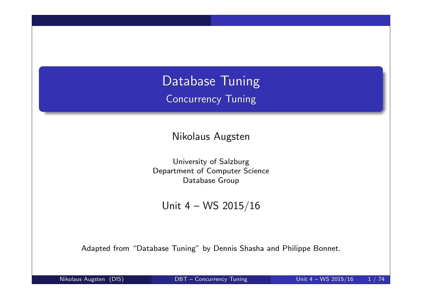Database Tuning Concurrency Tuning

Nikolaus Augsten

University of Salzburg Department of Computer Science Database Group

Unit 4 – WS 2015/16

Adapted from "Database Tuning" by Dennis Shasha and Philippe Bonnet.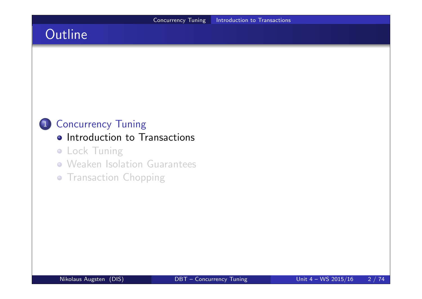## **Outline**

### 1 Concurrency Tuning

- **Introduction to Transactions**
- **.** Lock Tuning
- Weaken Isolation Guarantees
- **Transaction Chopping**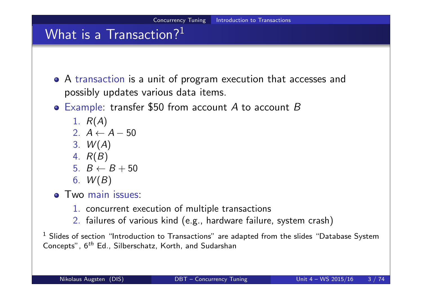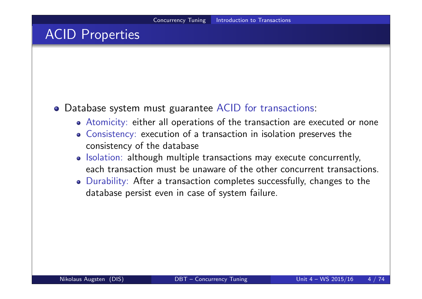### ACID Properties

#### Database system must guarantee ACID for transactions:

- Atomicity: either all operations of the transaction are executed or none
- Consistency: execution of a transaction in isolation preserves the consistency of the database
- o Isolation: although multiple transactions may execute concurrently, each transaction must be unaware of the other concurrent transactions.
- Durability: After a transaction completes successfully, changes to the database persist even in case of system failure.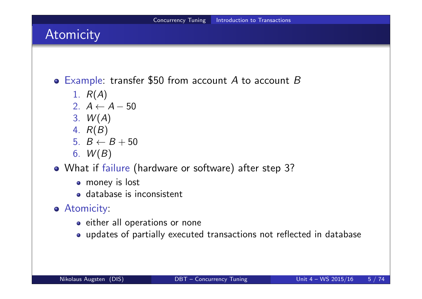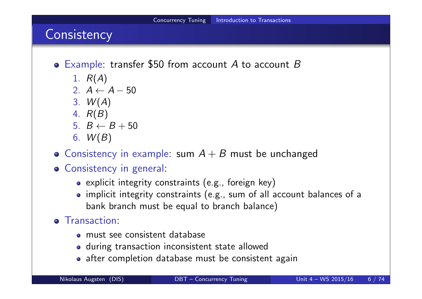## Concurrency Tuning | Introduction to Transactions **Consistency**  $\bullet$  Example: transfer \$50 from account A to account B 1.  $R(A)$ 2.  $A \leftarrow A - 50$ 3.  $W(A)$

- 4. R(B)
- 5.  $B \leftarrow B + 50$
- 6.  $W(B)$
- Consistency in example: sum  $A + B$  must be unchanged
- Consistency in general:
	- explicit integrity constraints (e.g., foreign key)
	- implicit integrity constraints (e.g., sum of all account balances of a bank branch must be equal to branch balance)
- **•** Transaction:
	- must see consistent database
	- during transaction inconsistent state allowed
	- after completion database must be consistent again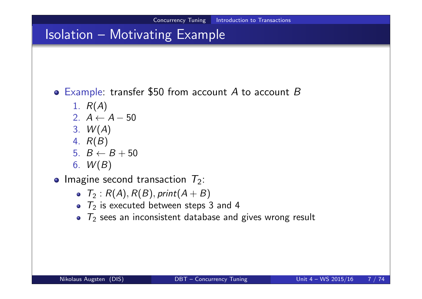### Isolation – Motivating Example

 $\bullet$  Example: transfer \$50 from account A to account B

- 1.  $R(A)$
- 2.  $A \leftarrow A 50$
- 3.  $W(A)$
- 4. R(B)
- 5.  $B \leftarrow B + 50$
- 6.  $W(B)$

• Imagine second transaction  $T_2$ :

- $T_2$  :  $R(A), R(B), print(A + B)$
- $\bullet$   $T_2$  is executed between steps 3 and 4
- $T_2$  sees an inconsistent database and gives wrong result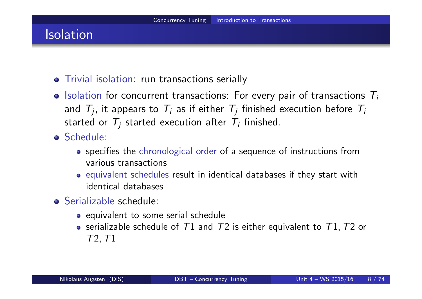## Isolation

- Trivial isolation: run transactions serially
- $\bullet$  Isolation for concurrent transactions: For every pair of transactions  $T_i$ and  $\mathcal{T}_j$ , it appears to  $\mathcal{T}_i$  as if either  $\mathcal{T}_j$  finished execution before  $\mathcal{T}_i$ started or  $\mathcal{T}_j$  started execution after  $\mathcal{T}_i$  finished.

### Schedule:

- specifies the chronological order of a sequence of instructions from various transactions
- equivalent schedules result in identical databases if they start with identical databases
- Serializable schedule:
	- equivalent to some serial schedule
	- serializable schedule of  $T1$  and  $T2$  is either equivalent to  $T1, T2$  or T2,T1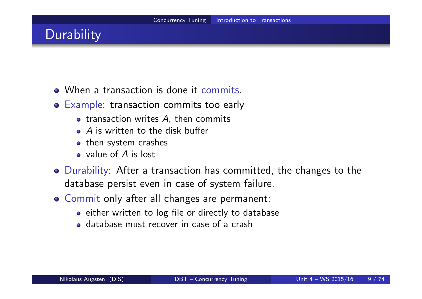## **Durability**

- When a transaction is done it commits.
- Example: transaction commits too early
	- $\bullet$  transaction writes A, then commits
	- A is written to the disk buffer
	- o then system crashes
	- value of A is lost
- Durability: After a transaction has committed, the changes to the database persist even in case of system failure.
- Commit only after all changes are permanent:
	- either written to log file or directly to database
	- database must recover in case of a crash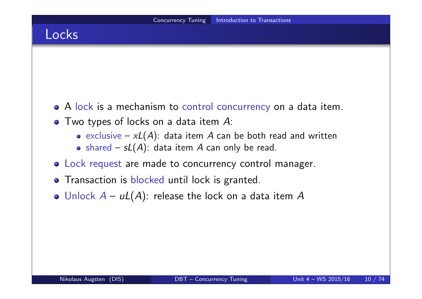### Locks

- A lock is a mechanism to control concurrency on a data item.
- Two types of locks on a data item A:
	- exclusive  $xL(A)$ : data item A can be both read and written
	- shared  $sL(A)$ : data item A can only be read.
- Lock request are made to concurrency control manager.
- **•** Transaction is blocked until lock is granted.
- Unlock  $A uL(A)$ : release the lock on a data item A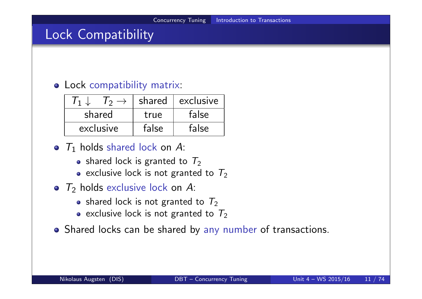### Lock Compatibility

#### Lock compatibility matrix:

|           | shared | exclusive |
|-----------|--------|-----------|
| shared    | true   | false     |
| exclusive | false  | false     |

- $T_1$  holds shared lock on A:
	- shared lock is granted to  $T_2$
	- exclusive lock is not granted to  $T_2$
- $T_2$  holds exclusive lock on A:
	- shared lock is not granted to  $T_2$
	- exclusive lock is not granted to  $T_2$
- Shared locks can be shared by any number of transactions.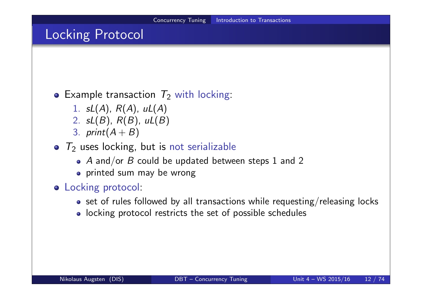### Locking Protocol

### • Example transaction  $T_2$  with locking:

- 1.  $sL(A)$ ,  $R(A)$ ,  $uL(A)$
- 2.  $sL(B)$ ,  $R(B)$ ,  $uL(B)$
- 3. print $(A + B)$
- $T_2$  uses locking, but is not serializable
	- A and/or  $B$  could be updated between steps 1 and 2
	- o printed sum may be wrong
- **o** Locking protocol:
	- $\bullet$  set of rules followed by all transactions while requesting/releasing locks
	- locking protocol restricts the set of possible schedules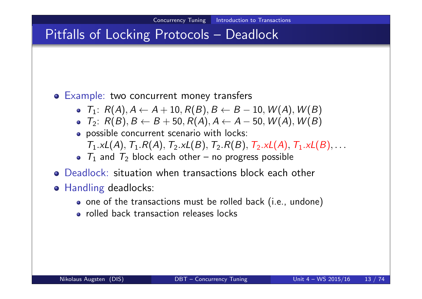## Pitfalls of Locking Protocols – Deadlock

#### **• Example: two concurrent money transfers**

- $T_1: R(A), A \leftarrow A + 10, R(B), B \leftarrow B 10, W(A), W(B)$
- $T_2$ :  $R(B), B \leftarrow B + 50, R(A), A \leftarrow A 50, W(A), W(B)$
- possible concurrent scenario with locks:  $T_1.xL(A), T_1.R(A), T_2.xL(B), T_2.R(B), T_2.xL(A), T_1.xL(B), \ldots$
- $T_1$  and  $T_2$  block each other no progress possible
- Deadlock: situation when transactions block each other
- **Handling deadlocks:** 
	- o one of the transactions must be rolled back (i.e., undone)
	- rolled back transaction releases locks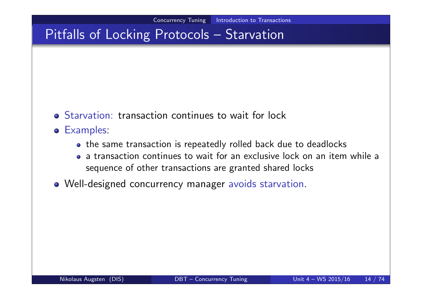## Pitfalls of Locking Protocols – Starvation

- Starvation: transaction continues to wait for lock
- Examples:
	- the same transaction is repeatedly rolled back due to deadlocks
	- a transaction continues to wait for an exclusive lock on an item while a sequence of other transactions are granted shared locks
- Well-designed concurrency manager avoids starvation.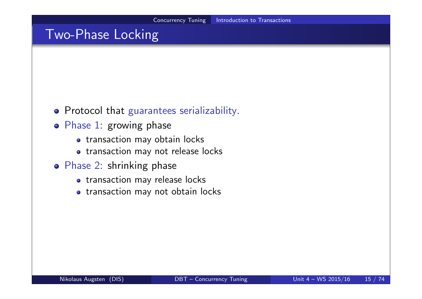### Two-Phase Locking

- **•** Protocol that guarantees serializability.
- Phase 1: growing phase
	- transaction may obtain locks
	- o transaction may not release locks
- Phase 2: shrinking phase
	- transaction may release locks
	- transaction may not obtain locks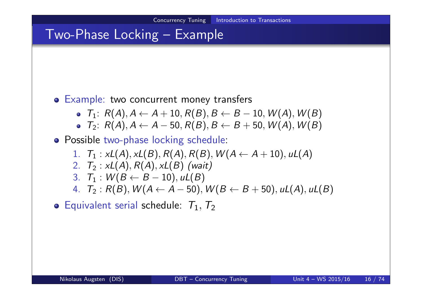### Two-Phase Locking – Example

#### Example: two concurrent money transfers

- $T_1: R(A), A \leftarrow A + 10, R(B), B \leftarrow B 10, W(A), W(B)$
- $T_2$ :  $R(A), A \leftarrow A 50, R(B), B \leftarrow B + 50, W(A), W(B)$
- Possible two-phase locking schedule:
	- 1.  $T_1$  :  $xL(A)$ ,  $xL(B)$ ,  $R(A)$ ,  $R(B)$ ,  $W(A \leftarrow A + 10)$ ,  $uL(A)$
	- 2.  $T_2 : xL(A), R(A), xL(B)$  (wait)
	- 3.  $T_1$  :  $W(B \leftarrow B 10)$ , uL(B)
	- 4.  $T_2$ :  $R(B)$ ,  $W(A \leftarrow A 50)$ ,  $W(B \leftarrow B + 50)$ ,  $uL(A)$ ,  $uL(B)$

**•** Equivalent serial schedule:  $T_1, T_2$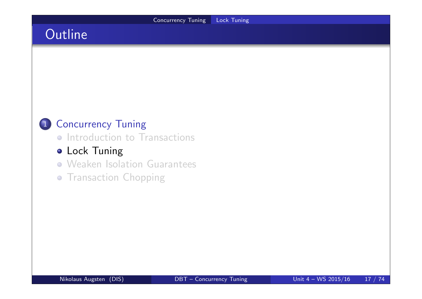## **Outline**

### 1 Concurrency Tuning

**• Introduction to Transactions** 

### **.** Lock Tuning

- Weaken Isolation Guarantees
- **Transaction Chopping**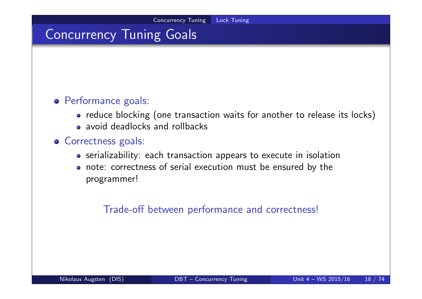## Concurrency Tuning Goals

### Performance goals:

- reduce blocking (one transaction waits for another to release its locks)
- avoid deadlocks and rollbacks

#### **o** Correctness goals:

- serializability: each transaction appears to execute in isolation
- note: correctness of serial execution must be ensured by the programmer!

### Trade-off between performance and correctness!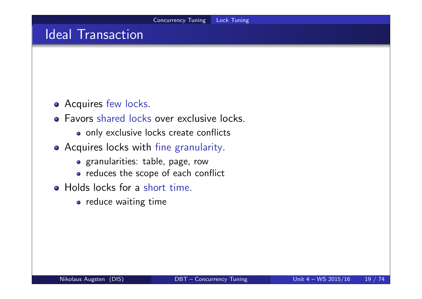### Ideal Transaction

- **•** Acquires few locks.
- Favors shared locks over exclusive locks.
	- only exclusive locks create conflicts
- Acquires locks with fine granularity.
	- granularities: table, page, row
	- reduces the scope of each conflict
- Holds locks for a short time.
	- o reduce waiting time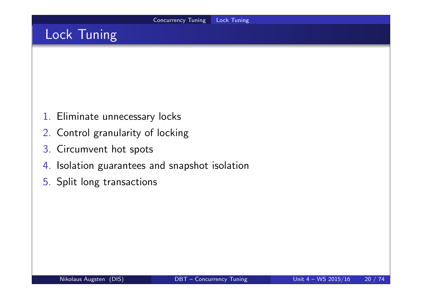## Lock Tuning

- 1. Eliminate unnecessary locks
- 2. Control granularity of locking
- 3. Circumvent hot spots
- 4. Isolation guarantees and snapshot isolation
- 5. Split long transactions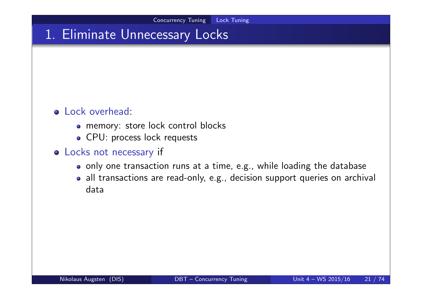## 1. Eliminate Unnecessary Locks

### o Lock overhead:

- memory: store lock control blocks
- CPU: process lock requests

#### Locks not necessary if

- o only one transaction runs at a time, e.g., while loading the database
- all transactions are read-only, e.g., decision support queries on archival data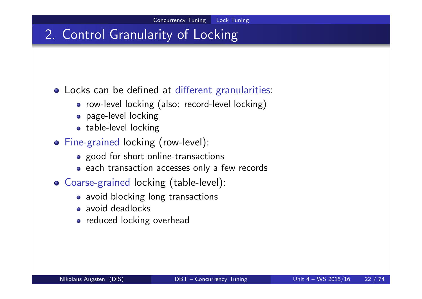## 2. Control Granularity of Locking

Locks can be defined at different granularities:

- row-level locking (also: record-level locking)
- page-level locking
- table-level locking
- Fine-grained locking (row-level):
	- good for short online-transactions
	- each transaction accesses only a few records
- Coarse-grained locking (table-level):
	- avoid blocking long transactions
	- avoid deadlocks
	- reduced locking overhead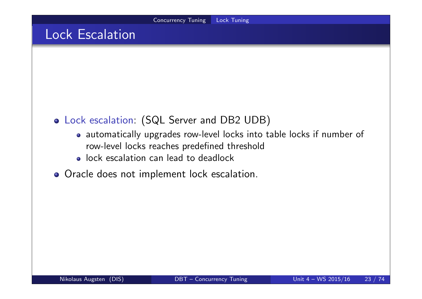### Lock Escalation

- Lock escalation: (SQL Server and DB2 UDB)
	- automatically upgrades row-level locks into table locks if number of row-level locks reaches predefined threshold
	- **.** lock escalation can lead to deadlock
- Oracle does not implement lock escalation.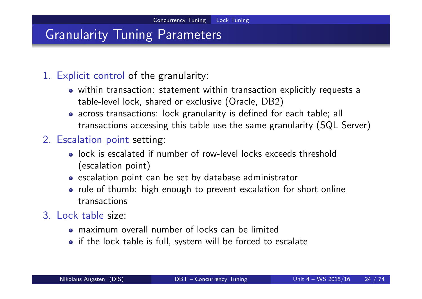## Granularity Tuning Parameters

#### 1. Explicit control of the granularity:

- within transaction: statement within transaction explicitly requests a table-level lock, shared or exclusive (Oracle, DB2)
- across transactions: lock granularity is defined for each table; all transactions accessing this table use the same granularity (SQL Server)

### 2. Escalation point setting:

- lock is escalated if number of row-level locks exceeds threshold (escalation point)
- escalation point can be set by database administrator
- rule of thumb: high enough to prevent escalation for short online transactions

#### 3. Lock table size:

- maximum overall number of locks can be limited
- if the lock table is full, system will be forced to escalate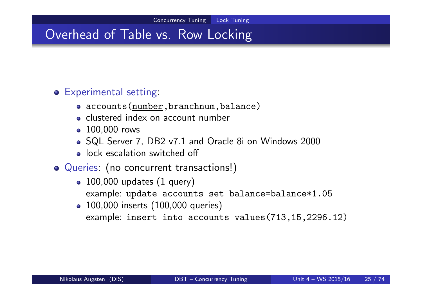## Overhead of Table vs. Row Locking

### Experimental setting:

- accounts(number, branchnum, balance)
- clustered index on account number
- 100,000 rows
- SQL Server 7, DB2 v7.1 and Oracle 8i on Windows 2000
- lock escalation switched off
- Queries: (no concurrent transactions!)
	- $\bullet$  100,000 updates (1 query)
		- example: update accounts set balance=balance\*1.05
	- 100,000 inserts (100,000 queries) example: insert into accounts values(713,15,2296.12)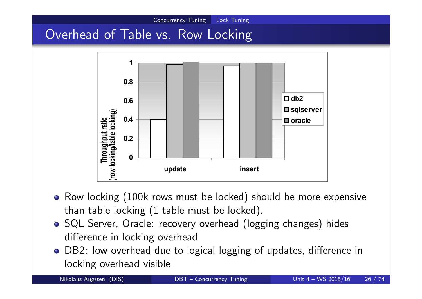

- Row locking (100k rows must be locked) should be more expensive than table locking (1 table must be locked).
- o SQL Server, Oracle: recovery overhead (logging changes) hides difference in locking overhead
- DB2: low overhead due to logical logging of updates, difference in locking overhead visible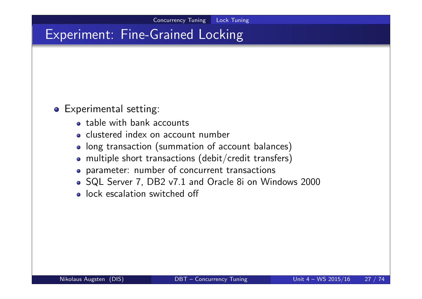## Experiment: Fine-Grained Locking

### Experimental setting:

- table with bank accounts
- clustered index on account number
- long transaction (summation of account balances)
- multiple short transactions (debit/credit transfers)
- parameter: number of concurrent transactions
- SQL Server 7, DB2 v7.1 and Oracle 8i on Windows 2000
- lock escalation switched off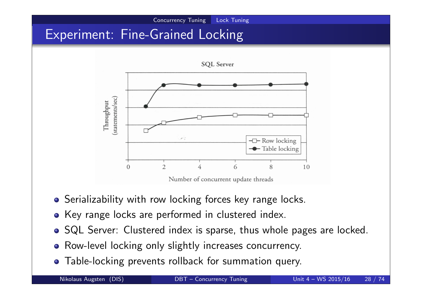

- o Serializability with row locking forces key range locks.
- Key range locks are performed in clustered index.
- SQL Server: Clustered index is sparse, thus whole pages are locked.
- Row-level locking only slightly increases concurrency.
- Table-locking prevents rollback for summation query.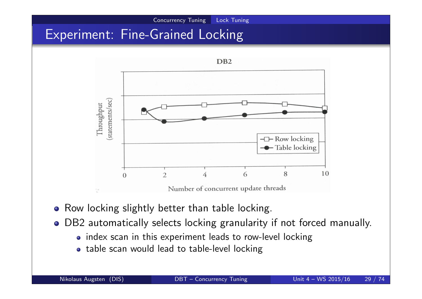

- Row locking slightly better than table locking.
- DB2 automatically selects locking granularity if not forced manually.
	- index scan in this experiment leads to row-level locking
	- table scan would lead to table-level locking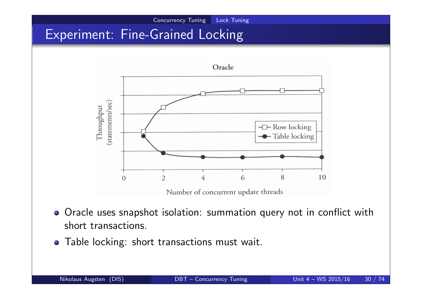

short transactions.

• Table locking: short transactions must wait.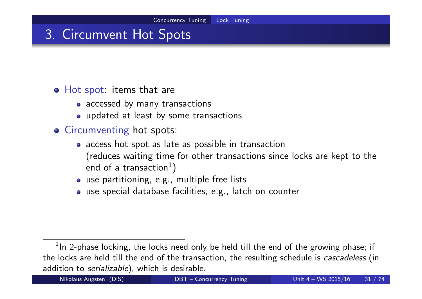## 3. Circumvent Hot Spots

#### Hot spot: items that are

- accessed by many transactions
- updated at least by some transactions
- **o** Circumventing hot spots:
	- access hot spot as late as possible in transaction (reduces waiting time for other transactions since locks are kept to the end of a transaction $^1)$
	- use partitioning, e.g., multiple free lists
	- use special database facilities, e.g., latch on counter

 $^1$ In 2-phase locking, the locks need only be held till the end of the growing phase; if the locks are held till the end of the transaction, the resulting schedule is *cascadeless* (in addition to serializable), which is desirable.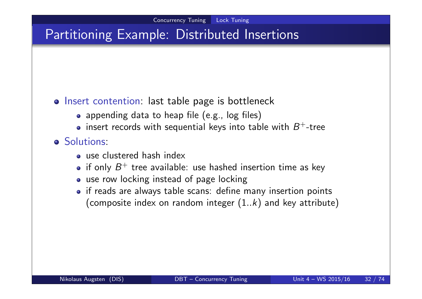## Partitioning Example: Distributed Insertions

### o Insert contention: last table page is bottleneck

- appending data to heap file (e.g., log files)
- insert records with sequential keys into table with  $B^+$ -tree

### **o** Solutions

- use clustered hash index
- if only  $B^+$  tree available: use hashed insertion time as key
- use row locking instead of page locking
- if reads are always table scans: define many insertion points (composite index on random integer  $(1..k)$  and key attribute)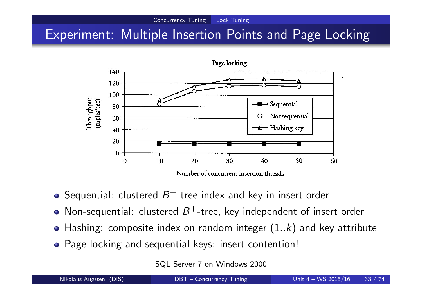# Experiment: Multiple Insertion Points and Page Locking

Concurrency Tuning Lock Tuning



- Sequential: clustered  $B^+$ -tree index and key in insert order
- Non-sequential: clustered  $B^+$ -tree, key independent of insert order
- Hashing: composite index on random integer  $(1..k)$  and key attribute
- Page locking and sequential keys: insert contention!

SQL Server 7 on Windows 2000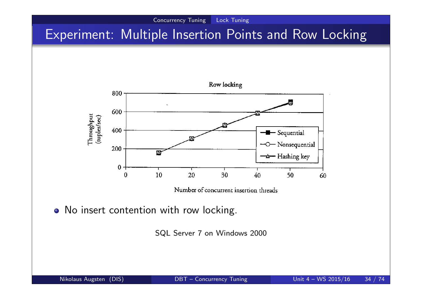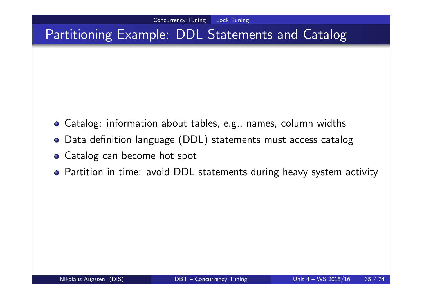## Partitioning Example: DDL Statements and Catalog

- Catalog: information about tables, e.g., names, column widths
- Data definition language (DDL) statements must access catalog
- Catalog can become hot spot
- Partition in time: avoid DDL statements during heavy system activity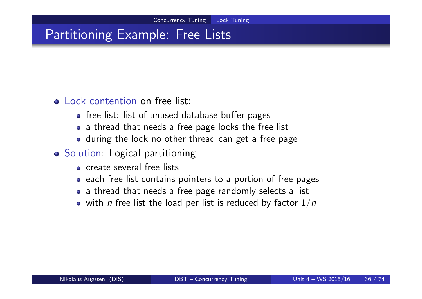## Partitioning Example: Free Lists

#### **o** Lock contention on free list:

- free list: list of unused database buffer pages
- a thread that needs a free page locks the free list
- during the lock no other thread can get a free page
- **o** Solution: Logical partitioning
	- create several free lists
	- each free list contains pointers to a portion of free pages
	- a thread that needs a free page randomly selects a list
	- with *n* free list the load per list is reduced by factor  $1/n$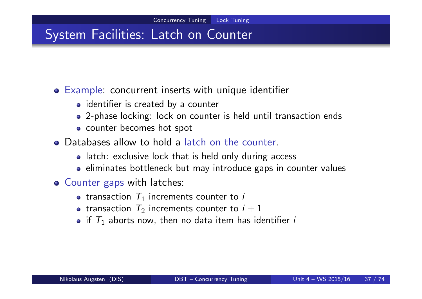## System Facilities: Latch on Counter

#### Example: concurrent inserts with unique identifier

- identifier is created by a counter
- 2-phase locking: lock on counter is held until transaction ends
- counter becomes hot spot
- Databases allow to hold a latch on the counter.
	- latch: exclusive lock that is held only during access
	- eliminates bottleneck but may introduce gaps in counter values
- **o** Counter gaps with latches:
	- transaction  $T_1$  increments counter to i
	- transaction  $T_2$  increments counter to  $i+1$
	- if  $\mathcal{T}_1$  aborts now, then no data item has identifier  $i$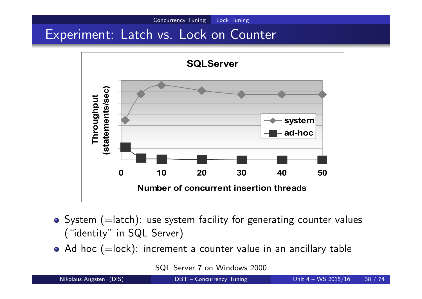



Concurrency Tuning Lock Tuning

- $\bullet$  System (=latch): use system facility for generating counter values ("identity" in SQL Server)
- $\bullet$  Ad hoc (=lock): increment a counter value in an ancillary table

SQL Server 7 on Windows 2000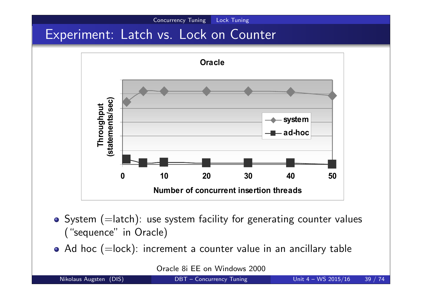# Experiment: Latch vs. Lock on Counter



Concurrency Tuning Lock Tuning

- System (=latch): use system facility for generating counter values ("sequence" in Oracle)
- $\bullet$  Ad hoc (=lock): increment a counter value in an ancillary table

Oracle 8i EE on Windows 2000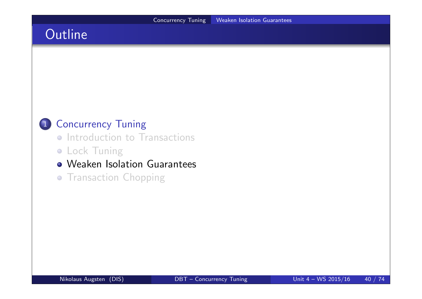# **Outline**

### 1 Concurrency Tuning

- **Introduction to Transactions**
- **.** Lock Tuning

### Weaken Isolation Guarantees

**• Transaction Chopping**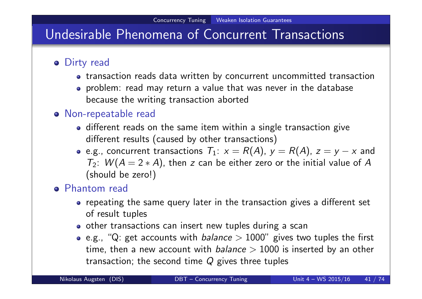# Undesirable Phenomena of Concurrent Transactions

### **o** Dirty read

- transaction reads data written by concurrent uncommitted transaction
- problem: read may return a value that was never in the database because the writing transaction aborted

### Non-repeatable read

- different reads on the same item within a single transaction give different results (caused by other transactions)
- e.g., concurrent transactions  $T_1: x = R(A)$ ,  $y = R(A)$ ,  $z = y x$  and  $T_2$ :  $W(A = 2*A)$ , then z can be either zero or the initial value of A (should be zero!)

### **•** Phantom read

- repeating the same query later in the transaction gives a different set of result tuples
- other transactions can insert new tuples during a scan
- e.g., "Q: get accounts with *balance*  $> 1000$ " gives two tuples the first time, then a new account with  $balance > 1000$  is inserted by an other transaction; the second time  $Q$  gives three tuples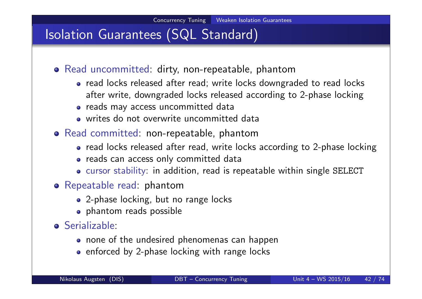# Isolation Guarantees (SQL Standard)

- o Read uncommitted: dirty, non-repeatable, phantom
	- read locks released after read; write locks downgraded to read locks after write, downgraded locks released according to 2-phase locking
	- reads may access uncommitted data
	- writes do not overwrite uncommitted data
- Read committed: non-repeatable, phantom
	- read locks released after read, write locks according to 2-phase locking
	- reads can access only committed data
	- cursor stability: in addition, read is repeatable within single SELECT
- Repeatable read: phantom
	- 2-phase locking, but no range locks
	- phantom reads possible
- **o** Serializable
	- none of the undesired phenomenas can happen
	- enforced by 2-phase locking with range locks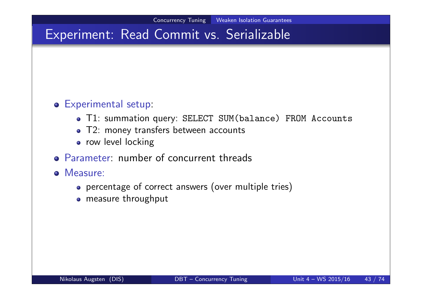#### Experimental setup:

- T1: summation query: SELECT SUM(balance) FROM Accounts
- T2: money transfers between accounts
- row level locking
- Parameter: number of concurrent threads

#### Measure:

- percentage of correct answers (over multiple tries)
- measure throughput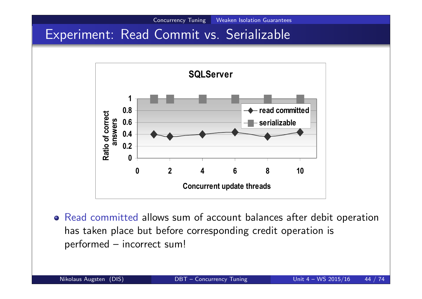

Concurrency Tuning Weaken Isolation Guarantees

Read committed allows sum of account balances after debit operation has taken place but before corresponding credit operation is performed – incorrect sum!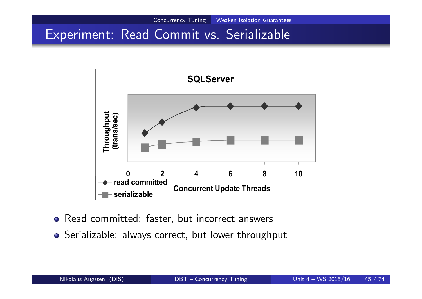

Concurrency Tuning Weaken Isolation Guarantees

- Read committed: faster, but incorrect answers
- Serializable: always correct, but lower throughput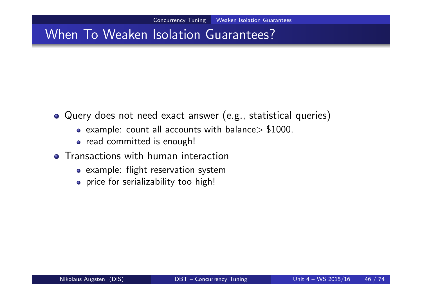# When To Weaken Isolation Guarantees?

- Query does not need exact answer (e.g., statistical queries)
	- $\bullet$  example: count all accounts with balance > \$1000.
	- o read committed is enough!
- **Transactions with human interaction** 
	- example: flight reservation system
	- price for serializability too high!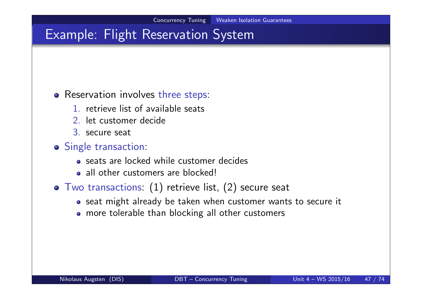## Example: Flight Reservation System

#### o Reservation involves three steps:

- 1. retrieve list of available seats
- 2. let customer decide
- 3. secure seat

#### o Single transaction:

- seats are locked while customer decides
- all other customers are blocked!
- Two transactions: (1) retrieve list, (2) secure seat
	- seat might already be taken when customer wants to secure it
	- more tolerable than blocking all other customers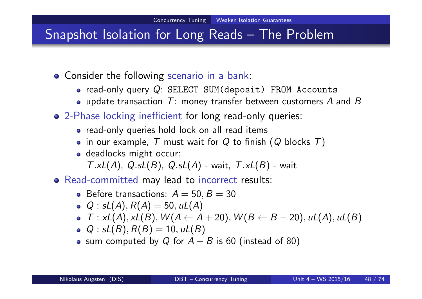# Snapshot Isolation for Long Reads – The Problem

- **Consider the following scenario in a bank:** 
	- $\bullet$  read-only query  $Q$ : SELECT SUM(deposit) FROM Accounts
	- update transaction  $T$ : money transfer between customers  $A$  and  $B$
- 2-Phase locking inefficient for long read-only queries:
	- read-only queries hold lock on all read items
	- in our example, T must wait for Q to finish (Q blocks  $T$ )
	- deadlocks might occur:

 $T.xL(A), Q.sL(B), Q.sL(A)$  - wait,  $T.xL(B)$  - wait

- Read-committed may lead to incorrect results:
	- Before transactions:  $A = 50, B = 30$
	- $Q : SL(A), R(A) = 50, uL(A)$
	- $\bullet$   $\mathcal{T}: xL(A), xL(B), W(A \leftarrow A + 20), W(B \leftarrow B 20), uL(A), uL(B)$
	- $Q : SL(B), R(B) = 10, uL(B)$
	- sum computed by Q for  $A + B$  is 60 (instead of 80)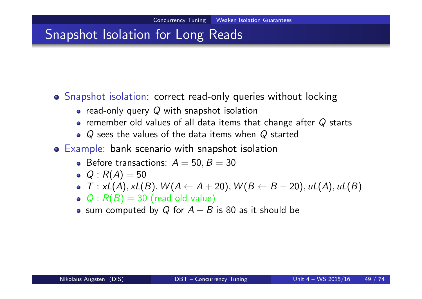# Snapshot Isolation for Long Reads

Snapshot isolation: correct read-only queries without locking

- read-only query  $Q$  with snapshot isolation
- remember old values of all data items that change after  $Q$  starts
- $\bullet$  Q sees the values of the data items when Q started
- Example: bank scenario with snapshot isolation
	- Before transactions:  $A = 50, B = 30$
	- $Q : R(A) = 50$
	- $\bullet$   $\mathcal{T}: xL(A), xL(B), W(A \leftarrow A + 20), W(B \leftarrow B 20), uL(A), uL(B)$
	- $Q: R(B) = 30$  (read old value)
	- sum computed by Q for  $A + B$  is 80 as it should be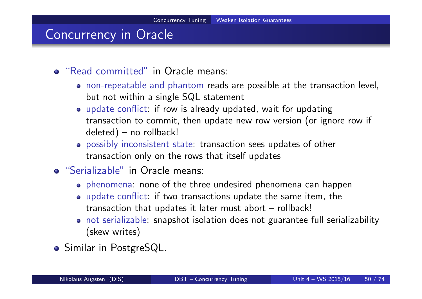# Concurrency in Oracle

- "Read committed" in Oracle means:
	- non-repeatable and phantom reads are possible at the transaction level, but not within a single SQL statement
	- update conflict: if row is already updated, wait for updating transaction to commit, then update new row version (or ignore row if deleted) – no rollback!
	- possibly inconsistent state: transaction sees updates of other transaction only on the rows that itself updates
- "Serializable" in Oracle means:
	- phenomena: none of the three undesired phenomena can happen
	- update conflict: if two transactions update the same item, the transaction that updates it later must abort – rollback!
	- not serializable: snapshot isolation does not guarantee full serializability (skew writes)
- **o** Similar in PostgreSQL.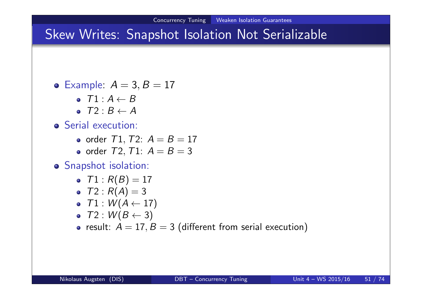## Skew Writes: Snapshot Isolation Not Serializable

• Example: 
$$
A = 3, B = 17
$$

- $\bullet$   $T1 \cdot A \leftarrow B$
- $\bullet$   $T2: B \leftarrow A$

### **•** Serial execution:

- order  $T1, T2$ :  $A = B = 17$
- order  $T2, T1: A = B = 3$

#### Snapshot isolation:

$$
\bullet \ \ \mathcal{T}1:R(B)=17
$$

$$
\bullet \ \mathsf{T2} : R(A) = 3
$$

- $\bullet$   $T1 : W(A \leftarrow 17)$
- $\bullet$   $T2 : W(B \leftarrow 3)$
- result:  $A = 17, B = 3$  (different from serial execution)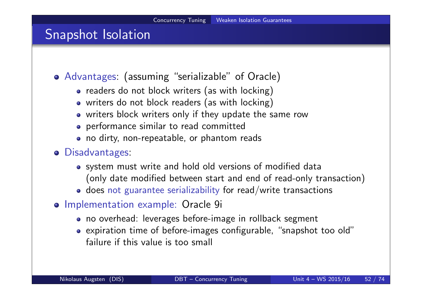### Snapshot Isolation

- Advantages: (assuming "serializable" of Oracle)
	- readers do not block writers (as with locking)
	- writers do not block readers (as with locking)
	- writers block writers only if they update the same row
	- performance similar to read committed
	- no dirty, non-repeatable, or phantom reads
- **•** Disadvantages:
	- system must write and hold old versions of modified data (only date modified between start and end of read-only transaction)
	- does not guarantee serializability for read/write transactions
- o Implementation example: Oracle 9i
	- no overhead: leverages before-image in rollback segment
	- expiration time of before-images configurable, "snapshot too old" failure if this value is too small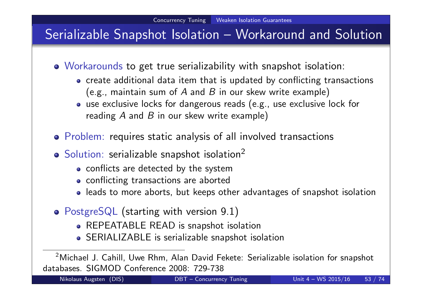# Serializable Snapshot Isolation – Workaround and Solution

- Workarounds to get true serializability with snapshot isolation:
	- create additional data item that is updated by conflicting transactions (e.g., maintain sum of A and B in our skew write example)
	- use exclusive locks for dangerous reads (e.g., use exclusive lock for reading  $A$  and  $B$  in our skew write example)
- Problem: requires static analysis of all involved transactions
- o Solution: serializable snapshot isolation<sup>2</sup>
	- conflicts are detected by the system
	- conflicting transactions are aborted
	- leads to more aborts, but keeps other advantages of snapshot isolation
- PostgreSQL (starting with version 9.1)
	- REPEATABLE READ is snapshot isolation
	- SERIALIZABLE is serializable snapshot isolation

 $^2$ Michael J. Cahill, Uwe Rhm, Alan David Fekete: Serializable isolation for snapshot databases. SIGMOD Conference 2008: 729-738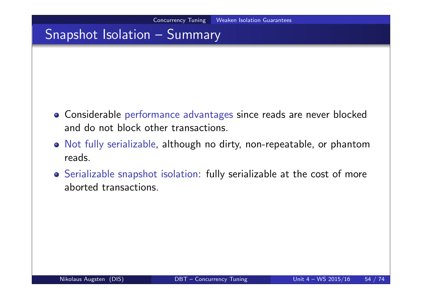## Snapshot Isolation – Summary

- Considerable performance advantages since reads are never blocked and do not block other transactions.
- Not fully serializable, although no dirty, non-repeatable, or phantom reads.
- Serializable snapshot isolation: fully serializable at the cost of more aborted transactions.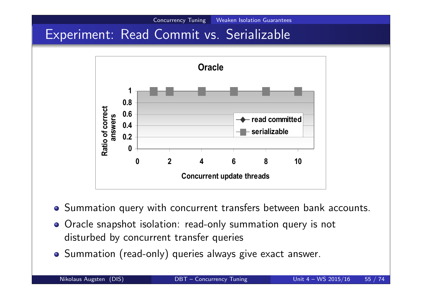

Concurrency Tuning Weaken Isolation Guarantees

- Summation query with concurrent transfers between bank accounts.
- Oracle snapshot isolation: read-only summation query is not disturbed by concurrent transfer queries
- Summation (read-only) queries always give exact answer.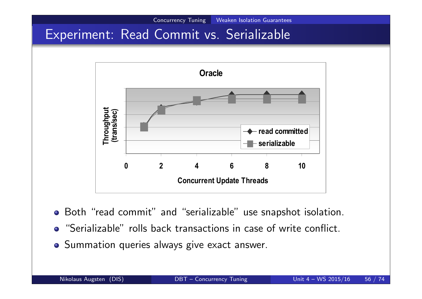

Concurrency Tuning Weaken Isolation Guarantees

- Both "read commit" and "serializable" use snapshot isolation.
- "Serializable" rolls back transactions in case of write conflict.
- Summation queries always give exact answer.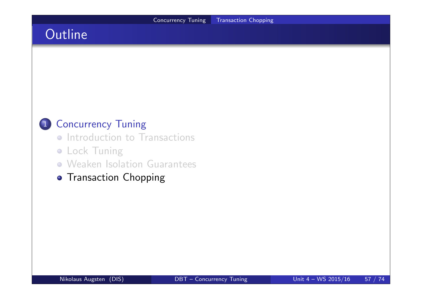# **Outline**

### 1 Concurrency Tuning

- **Introduction to Transactions**
- **.** Lock Tuning
- Weaken Isolation Guarantees
- **Transaction Chopping**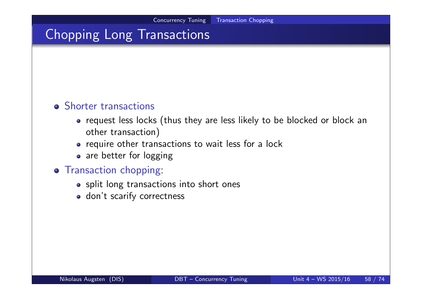### Chopping Long Transactions

#### **•** Shorter transactions

- request less locks (thus they are less likely to be blocked or block an other transaction)
- require other transactions to wait less for a lock
- are better for logging

#### **o** Transaction chopping:

- o split long transactions into short ones
- o don't scarify correctness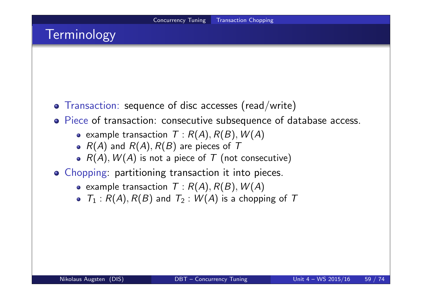# **Terminology**

- Transaction: sequence of disc accesses (read/write)
- Piece of transaction: consecutive subsequence of database access.
	- example transaction  $T : R(A), R(B), W(A)$
	- $R(A)$  and  $R(A), R(B)$  are pieces of T
	- $R(A)$ ,  $W(A)$  is not a piece of T (not consecutive)
- Chopping: partitioning transaction it into pieces.
	- example transaction  $T : R(A), R(B), W(A)$
	- $T_1$ :  $R(A)$ ,  $R(B)$  and  $T_2$ :  $W(A)$  is a chopping of T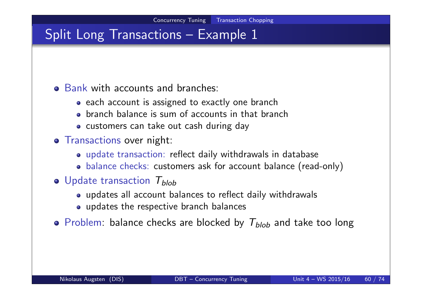## Split Long Transactions – Example 1

• Bank with accounts and branches:

- each account is assigned to exactly one branch
- branch balance is sum of accounts in that branch
- customers can take out cash during day
- o Transactions over night:
	- update transaction: reflect daily withdrawals in database
	- balance checks: customers ask for account balance (read-only)
- $\bullet$  Update transaction  $T_{\text{blob}}$ 
	- updates all account balances to reflect daily withdrawals
	- updates the respective branch balances
- Problem: balance checks are blocked by  $T_{blob}$  and take too long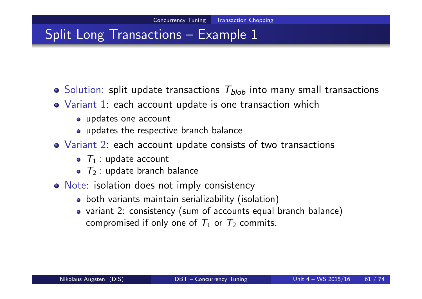# Split Long Transactions – Example 1

- $\bullet$  Solution: split update transactions  $T_{blob}$  into many small transactions
- Variant 1: each account update is one transaction which
	- updates one account
	- updates the respective branch balance
- Variant 2: each account update consists of two transactions
	- $\bullet$   $\tau_1$  : update account
	- $\bullet$   $\tau_2$  : update branch balance
- o Note: isolation does not imply consistency
	- both variants maintain serializability (isolation)
	- variant 2: consistency (sum of accounts equal branch balance) compromised if only one of  $\,_1$  or  $\,_2$  commits.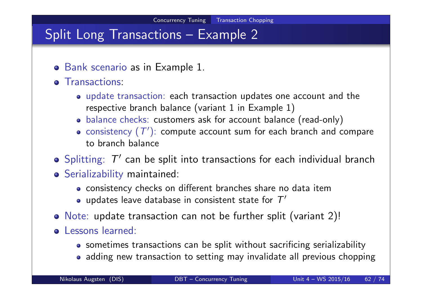### Split Long Transactions – Example 2

- Bank scenario as in Example 1.
- **•** Transactions:
	- update transaction: each transaction updates one account and the respective branch balance (variant 1 in Example 1)
	- balance checks: customers ask for account balance (read-only)
	- consistency  $(\mathcal{T}')$ : compute account sum for each branch and compare to branch balance
- Splitting:  $\mathcal{T}'$  can be split into transactions for each individual branch
- Serializability maintained:
	- consistency checks on different branches share no data item
	- updates leave database in consistent state for  $\mathcal{T}'$
- Note: update transaction can not be further split (variant 2)!
- o Lessons learned:
	- sometimes transactions can be split without sacrificing serializability
	- adding new transaction to setting may invalidate all previous chopping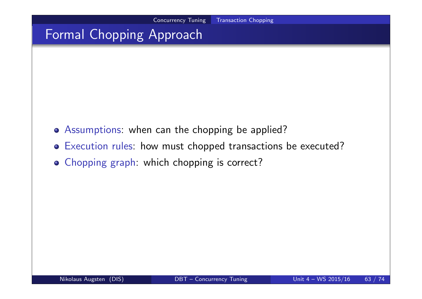# Formal Chopping Approach

- Assumptions: when can the chopping be applied?
- Execution rules: how must chopped transactions be executed?
- Chopping graph: which chopping is correct?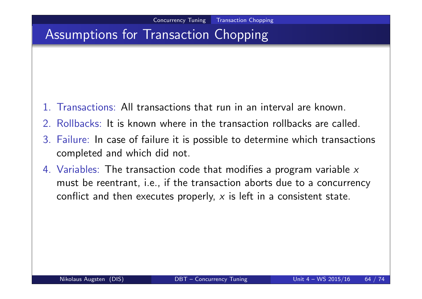## Assumptions for Transaction Chopping

- 1. Transactions: All transactions that run in an interval are known.
- 2. Rollbacks: It is known where in the transaction rollbacks are called.
- 3. Failure: In case of failure it is possible to determine which transactions completed and which did not.
- 4. Variables: The transaction code that modifies a program variable  $x$ must be reentrant, i.e., if the transaction aborts due to a concurrency conflict and then executes properly,  $x$  is left in a consistent state.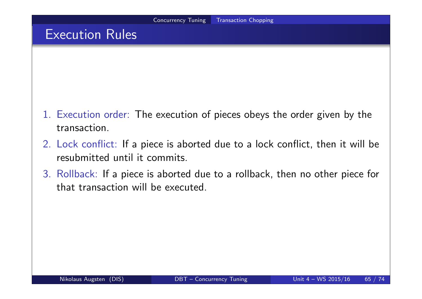### Execution Rules

- 1. Execution order: The execution of pieces obeys the order given by the transaction.
- 2. Lock conflict: If a piece is aborted due to a lock conflict, then it will be resubmitted until it commits.
- 3. Rollback: If a piece is aborted due to a rollback, then no other piece for that transaction will be executed.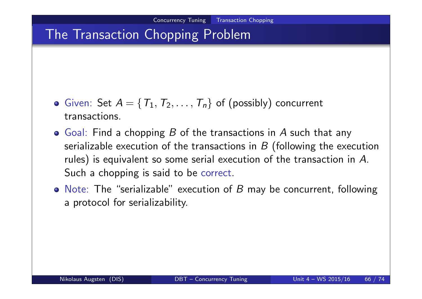# The Transaction Chopping Problem

- Given: Set  $A = \{T_1, T_2, \ldots, T_n\}$  of (possibly) concurrent transactions.
- $\bullet$  Goal: Find a chopping B of the transactions in A such that any serializable execution of the transactions in  $B$  (following the execution rules) is equivalent so some serial execution of the transaction in A. Such a chopping is said to be correct.
- Note: The "serializable" execution of  $B$  may be concurrent, following a protocol for serializability.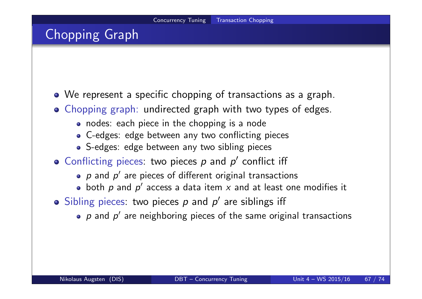## Chopping Graph

- We represent a specific chopping of transactions as a graph.
- Chopping graph: undirected graph with two types of edges.
	- nodes: each piece in the chopping is a node
	- C-edges: edge between any two conflicting pieces
	- S-edges: edge between any two sibling pieces
- Conflicting pieces: two pieces  $p$  and  $p'$  conflict iff
	- $\rho$  and  $\rho'$  are pieces of different original transactions
	- both  $\rho$  and  $\rho'$  access a data item  $x$  and at least one modifies it
- Sibling pieces: two pieces  $p$  and  $p'$  are siblings iff
	- $\bm{\rho}$  and  $\bm{\rho}'$  are neighboring pieces of the same original transactions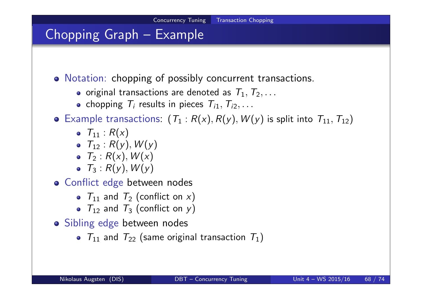# Chopping Graph – Example

Notation: chopping of possibly concurrent transactions.

- $\bullet$  original transactions are denoted as  $T_1, T_2, \ldots$
- chopping  $\mathcal{T}_i$  results in pieces  $\mathcal{T}_{i1},\mathcal{T}_{i2},\ldots$

• Example transactions:  $(T_1 : R(x), R(y), W(y)$  is split into  $T_{11}, T_{12})$ 

- $T_{11}$  :  $R(x)$
- $T_{12}$  :  $R(y)$ ,  $W(y)$
- $\bullet$   $T_2$ :  $R(x)$ ,  $W(x)$
- $\bullet$   $T_3$  :  $R(y)$ ,  $W(y)$
- **o** Conflict edge between nodes
	- $T_{11}$  and  $T_2$  (conflict on x)
	- $T_{12}$  and  $T_3$  (conflict on y)
- Sibling edge between nodes
	- $T_{11}$  and  $T_{22}$  (same original transaction  $T_1)$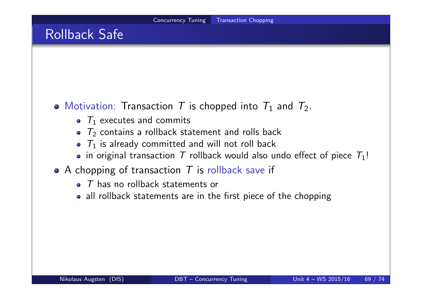## Rollback Safe

### Motivation: Transaction T is chopped into  $T_1$  and  $T_2$ .

- $T_1$  executes and commits
- $T_2$  contains a rollback statement and rolls back
- $\bullet$   $\tau_1$  is already committed and will not roll back
- in original transaction T rollback would also undo effect of piece  $T_1!$
- $\bullet$  A chopping of transaction T is rollback save if
	- T has no rollback statements or
	- all rollback statements are in the first piece of the chopping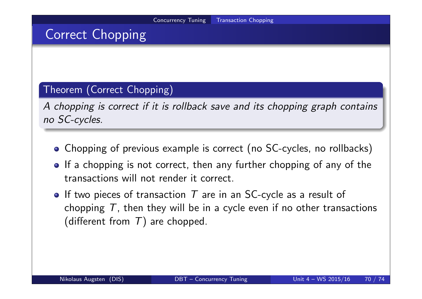### Correct Chopping

#### Theorem (Correct Chopping)

A chopping is correct if it is rollback save and its chopping graph contains no SC-cycles.

- Chopping of previous example is correct (no SC-cycles, no rollbacks)
- If a chopping is not correct, then any further chopping of any of the transactions will not render it correct.
- If two pieces of transaction  $T$  are in an SC-cycle as a result of chopping  $T$ , then they will be in a cycle even if no other transactions (different from  $T$ ) are chopped.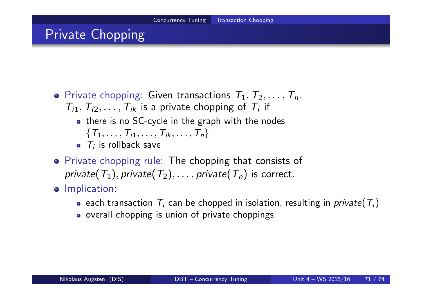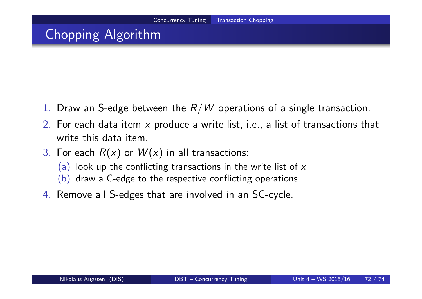# Chopping Algorithm

- 1. Draw an S-edge between the  $R/W$  operations of a single transaction.
- 2. For each data item  $x$  produce a write list, i.e., a list of transactions that write this data item.
- 3. For each  $R(x)$  or  $W(x)$  in all transactions:
	- (a) look up the conflicting transactions in the write list of  $x$
	- (b) draw a C-edge to the respective conflicting operations
- 4. Remove all S-edges that are involved in an SC-cycle.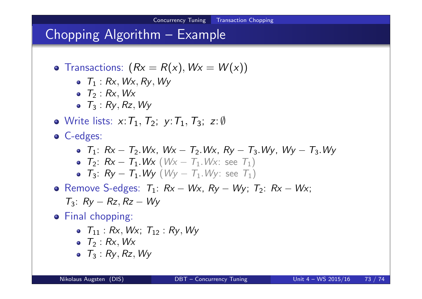## Chopping Algorithm – Example

- **•** Transactions:  $(Rx = R(x), Wx = W(x))$ 
	- $\bullet$   $T_1$  : Rx, Wx, Ry, Wy
	- $\bullet$   $T_2$  : Rx, Wx
	- $\bullet$   $T_3$ :  $R_V$ ,  $R_z$ ,  $W_V$
- Write lists:  $x: T_1, T_2$ ;  $y: T_1, T_3$ ;  $z: \emptyset$
- C-edges:
	- $T_1: Rx T_2.Wx$ ,  $Wx T_2.Wx$ ,  $Ry T_3.Wy$ ,  $Wy T_3.Wy$
	- $T_2$ :  $Rx T_1.Wx$  ( $Wx T_1.Wx$ : see  $T_1$ )
	- $T_3$ :  $Ry T_1.Wy$  ( $Wy T_1.Wy$ : see  $T_1$ )
- Remove S-edges:  $T_1$ :  $Rx Wx$ ,  $Ry Wy$ ;  $T_2$ :  $Rx Wx$ ;  $T_3$ :  $R_V - R_Z$ ,  $R_Z - W_V$
- Final chopping:
	- $\bullet$   $T_{11}$  : Rx, Wx;  $T_{12}$  : Ry, Wy
	- $\bullet$   $T_2$  : Rx, Wx
	- $\bullet$   $T_3$ :  $R_V$ ,  $R_Z$ ,  $W_V$